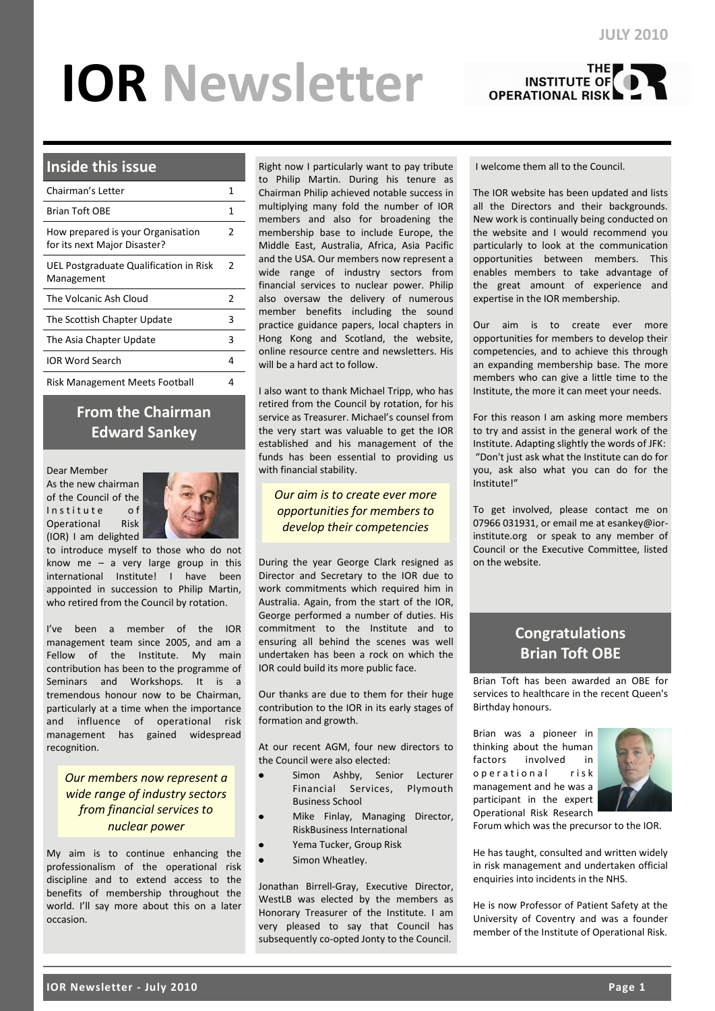# **IOR Newsletter**



# **Inside this issue**

| Chairman's Letter                                                 |               |  |  |  |  |  |
|-------------------------------------------------------------------|---------------|--|--|--|--|--|
| <b>Brian Toft OBF</b>                                             | 1             |  |  |  |  |  |
| How prepared is your Organisation<br>for its next Major Disaster? | 2             |  |  |  |  |  |
| UEL Postgraduate Qualification in Risk<br>Management              | $\mathcal{P}$ |  |  |  |  |  |
| The Volcanic Ash Cloud                                            | $\mathcal{P}$ |  |  |  |  |  |
| The Scottish Chapter Update                                       | 3             |  |  |  |  |  |
| The Asia Chapter Update                                           | 3             |  |  |  |  |  |
| <b>IOR Word Search</b>                                            | 4             |  |  |  |  |  |
| <b>Risk Management Meets Football</b>                             | 4             |  |  |  |  |  |

# **From the Chairman Edward Sankey**

#### Dear Member

As the new chairman of the Council of the Institute of Operational Risk (IOR) I am delighted



to introduce myself to those who do not know me – a very large group in this international Institute! I have been appointed in succession to Philip Martin, who retired from the Council by rotation.

I've been a member of the IOR management team since 2005, and am a Fellow of the Institute. My main contribution has been to the programme of Seminars and Workshops. It is a tremendous honour now to be Chairman, particularly at a time when the importance and influence of operational risk management has gained widespread recognition.

# *Our members now represent a wide range of industry sectors from financial services to nuclear power*

My aim is to continue enhancing the professionalism of the operational risk discipline and to extend access to the benefits of membership throughout the world. I'll say more about this on a later occasion.

Right now I particularly want to pay tribute to Philip Martin. During his tenure as Chairman Philip achieved notable success in multiplying many fold the number of IOR members and also for broadening the membership base to include Europe, the Middle East, Australia, Africa, Asia Pacific and the USA. Our members now represent a wide range of industry sectors from financial services to nuclear power. Philip also oversaw the delivery of numerous member benefits including the sound practice guidance papers, local chapters in Hong Kong and Scotland, the website, online resource centre and newsletters. His will be a hard act to follow.

I also want to thank Michael Tripp, who has retired from the Council by rotation, for his service as Treasurer. Michael's counsel from the very start was valuable to get the IOR established and his management of the funds has been essential to providing us with financial stability.

*Our aim is to create ever more opportunities for members to develop their competencies*

During the year George Clark resigned as Director and Secretary to the IOR due to work commitments which required him in Australia. Again, from the start of the IOR, George performed a number of duties. His commitment to the Institute and to ensuring all behind the scenes was well undertaken has been a rock on which the IOR could build its more public face.

Our thanks are due to them for their huge contribution to the IOR in its early stages of formation and growth.

At our recent AGM, four new directors to the Council were also elected:

- Simon Ashby, Senior Lecturer Financial Services, Plymouth Business School
- Mike Finlay, Managing Director, RiskBusiness International
- Yema Tucker, Group Risk
- Simon Wheatley.

Jonathan Birrell-Gray, Executive Director, WestLB was elected by the members as Honorary Treasurer of the Institute. I am very pleased to say that Council has subsequently co-opted Jonty to the Council.

#### I welcome them all to the Council.

The IOR website has been updated and lists all the Directors and their backgrounds. New work is continually being conducted on the website and I would recommend you particularly to look at the communication opportunities between members. This enables members to take advantage of the great amount of experience and expertise in the IOR membership.

Our aim is to create ever more opportunities for members to develop their competencies, and to achieve this through an expanding membership base. The more members who can give a little time to the Institute, the more it can meet your needs.

For this reason I am asking more members to try and assist in the general work of the Institute. Adapting slightly the words of JFK: "Don't just ask what the Institute can do for you, ask also what you can do for the Institute!"

To get involved, please contact me on 07966 031931, or email me at esankey@iorinstitute.org or speak to any member of Council or the Executive Committee, listed on the website.

# **Congratulations Brian Toft OBE**

Brian Toft has been awarded an OBE for services to healthcare in the recent Queen's Birthday honours.

Brian was a pioneer in thinking about the human factors involved in o p e r a tional risk management and he was a participant in the expert Operational Risk Research



Forum which was the precursor to the IOR.

He has taught, consulted and written widely in risk management and undertaken official enquiries into incidents in the NHS.

He is now Professor of Patient Safety at the University of Coventry and was a founder member of the Institute of Operational Risk.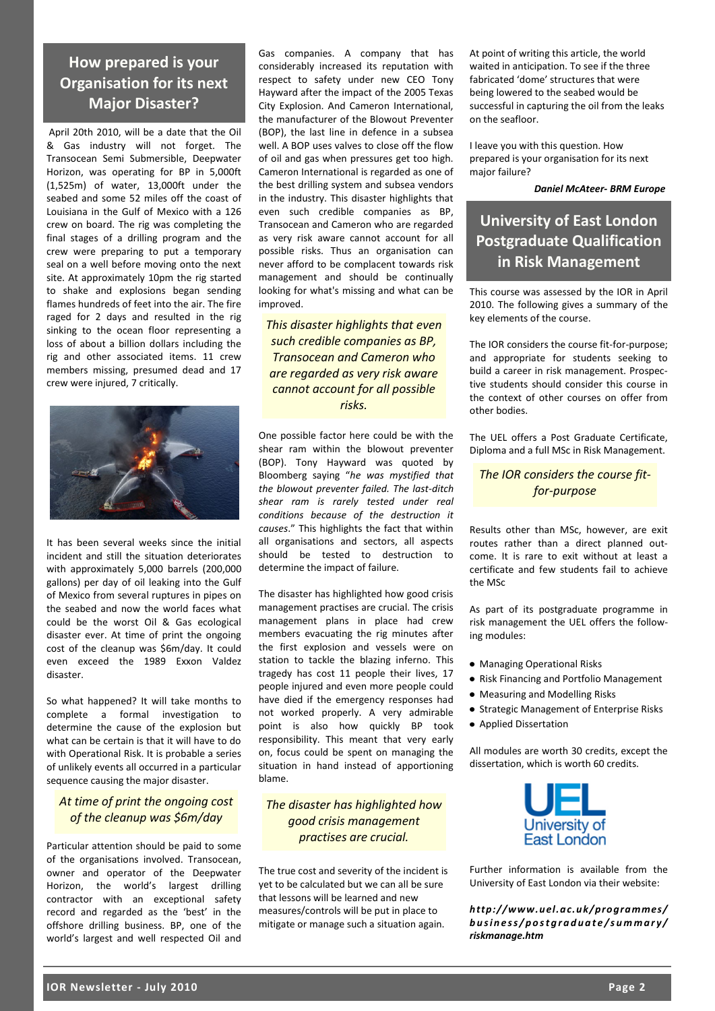**How prepared is your Organisation for its next Major Disaster?** 

April 20th 2010, will be a date that the Oil & Gas industry will not forget. The Transocean Semi Submersible, Deepwater Horizon, was operating for BP in 5,000ft (1,525m) of water, 13,000ft under the seabed and some 52 miles off the coast of Louisiana in the Gulf of Mexico with a 126 crew on board. The rig was completing the final stages of a drilling program and the crew were preparing to put a temporary seal on a well before moving onto the next site. At approximately 10pm the rig started to shake and explosions began sending flames hundreds of feet into the air. The fire raged for 2 days and resulted in the rig sinking to the ocean floor representing a loss of about a billion dollars including the rig and other associated items. 11 crew members missing, presumed dead and 17 crew were injured, 7 critically.



It has been several weeks since the initial incident and still the situation deteriorates with approximately 5,000 barrels (200,000 gallons) per day of oil leaking into the Gulf of Mexico from several ruptures in pipes on the seabed and now the world faces what could be the worst Oil & Gas ecological disaster ever. At time of print the ongoing cost of the cleanup was \$6m/day. It could even exceed the 1989 Exxon Valdez disaster.

So what happened? It will take months to complete a formal investigation to determine the cause of the explosion but what can be certain is that it will have to do with Operational Risk. It is probable a series of unlikely events all occurred in a particular sequence causing the major disaster.

#### *At time of print the ongoing cost of the cleanup was \$6m/day*

Particular attention should be paid to some of the organisations involved. Transocean, owner and operator of the Deepwater Horizon, the world's largest drilling contractor with an exceptional safety record and regarded as the 'best' in the offshore drilling business. BP, one of the world's largest and well respected Oil and

Gas companies. A company that has considerably increased its reputation with respect to safety under new CEO Tony Hayward after the impact of the 2005 Texas City Explosion. And Cameron International, the manufacturer of the Blowout Preventer (BOP), the last line in defence in a subsea well. A BOP uses valves to close off the flow of oil and gas when pressures get too high. Cameron International is regarded as one of the best drilling system and subsea vendors in the industry. This disaster highlights that even such credible companies as BP, Transocean and Cameron who are regarded as very risk aware cannot account for all possible risks. Thus an organisation can never afford to be complacent towards risk management and should be continually looking for what's missing and what can be improved.

*This disaster highlights that even such credible companies as BP, Transocean and Cameron who are regarded as very risk aware cannot account for all possible risks.* 

One possible factor here could be with the shear ram within the blowout preventer (BOP). Tony Hayward was quoted by Bloomberg saying "*he was mystified that the blowout preventer failed. The last-ditch shear ram is rarely tested under real conditions because of the destruction it causes*." This highlights the fact that within all organisations and sectors, all aspects should be tested to destruction to determine the impact of failure.

The disaster has highlighted how good crisis management practises are crucial. The crisis management plans in place had crew members evacuating the rig minutes after the first explosion and vessels were on station to tackle the blazing inferno. This tragedy has cost 11 people their lives, 17 people injured and even more people could have died if the emergency responses had not worked properly. A very admirable point is also how quickly BP took responsibility. This meant that very early on, focus could be spent on managing the situation in hand instead of apportioning blame.

*The disaster has highlighted how good crisis management practises are crucial.* 

The true cost and severity of the incident is yet to be calculated but we can all be sure that lessons will be learned and new measures/controls will be put in place to mitigate or manage such a situation again.

At point of writing this article, the world waited in anticipation. To see if the three fabricated 'dome' structures that were being lowered to the seabed would be successful in capturing the oil from the leaks on the seafloor.

I leave you with this question. How prepared is your organisation for its next major failure?

#### *Daniel McAteer- BRM Europe*

# **University of East London Postgraduate Qualification in Risk Management**

This course was assessed by the IOR in April 2010. The following gives a summary of the key elements of the course.

The IOR considers the course fit-for-purpose; and appropriate for students seeking to build a career in risk management. Prospective students should consider this course in the context of other courses on offer from other bodies.

The UEL offers a Post Graduate Certificate, Diploma and a full MSc in Risk Management.

# *The IOR considers the course fitfor-purpose*

Results other than MSc, however, are exit routes rather than a direct planned outcome. It is rare to exit without at least a certificate and few students fail to achieve the MSc

As part of its postgraduate programme in risk management the UEL offers the following modules:

- Managing Operational Risks
- Risk Financing and Portfolio Management
- Measuring and Modelling Risks
- **Strategic Management of Enterprise Risks**
- Applied Dissertation

All modules are worth 30 credits, except the dissertation, which is worth 60 credits.



Further information is available from the University of East London via their website:

*http://www.uel.ac.uk/programmes/ b u s i n e s s / p o s t g r a d u a t e / s u m m a r y / riskmanage.htm*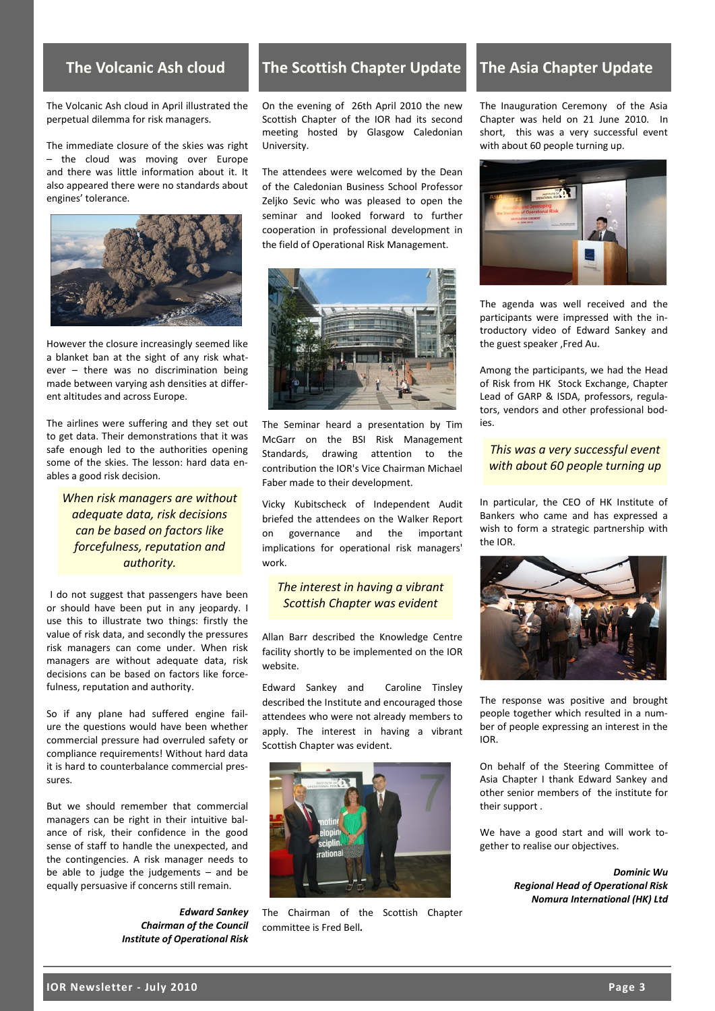The Volcanic Ash cloud in April illustrated the perpetual dilemma for risk managers.

The immediate closure of the skies was right – the cloud was moving over Europe and there was little information about it. It also appeared there were no standards about engines' tolerance.



However the closure increasingly seemed like a blanket ban at the sight of any risk whatever – there was no discrimination being made between varying ash densities at different altitudes and across Europe.

The airlines were suffering and they set out to get data. Their demonstrations that it was safe enough led to the authorities opening some of the skies. The lesson: hard data enables a good risk decision.

*When risk managers are without adequate data, risk decisions can be based on factors like forcefulness, reputation and authority.*

I do not suggest that passengers have been or should have been put in any jeopardy. I use this to illustrate two things: firstly the value of risk data, and secondly the pressures risk managers can come under. When risk managers are without adequate data, risk decisions can be based on factors like forcefulness, reputation and authority.

So if any plane had suffered engine failure the questions would have been whether commercial pressure had overruled safety or compliance requirements! Without hard data it is hard to counterbalance commercial pressures.

But we should remember that commercial managers can be right in their intuitive balance of risk, their confidence in the good sense of staff to handle the unexpected, and the contingencies. A risk manager needs to be able to judge the judgements – and be equally persuasive if concerns still remain.

*Edward Sankey Chairman of the Council Institute of Operational Risk*

# **The Volcanic Ash cloud The Scottish Chapter Update**

On the evening of 26th April 2010 the new Scottish Chapter of the IOR had its second meeting hosted by Glasgow Caledonian University.

The attendees were welcomed by the Dean of the Caledonian Business School Professor Zeljko Sevic who was pleased to open the seminar and looked forward to further cooperation in professional development in the field of Operational Risk Management.



The Seminar heard a presentation by Tim McGarr on the BSI Risk Management Standards, drawing attention to the contribution the IOR's Vice Chairman Michael Faber made to their development.

Vicky Kubitscheck of Independent Audit briefed the attendees on the Walker Report on governance and the important implications for operational risk managers' work.

### *The interest in having a vibrant Scottish Chapter was evident*

Allan Barr described the Knowledge Centre facility shortly to be implemented on the IOR website.

Edward Sankey and Caroline Tinsley described the Institute and encouraged those attendees who were not already members to apply. The interest in having a vibrant Scottish Chapter was evident.



The Chairman of the Scottish Chapter committee is Fred Bell*.*

# **The Asia Chapter Update**

The Inauguration Ceremony of the Asia Chapter was held on 21 June 2010. In short, this was a very successful event with about 60 people turning up.



The agenda was well received and the participants were impressed with the introductory video of Edward Sankey and the guest speaker ,Fred Au.

Among the participants, we had the Head of Risk from HK Stock Exchange, Chapter Lead of GARP & ISDA, professors, regulators, vendors and other professional bodies.

*This was a very successful event with about 60 people turning up*

In particular, the CEO of HK Institute of Bankers who came and has expressed a wish to form a strategic partnership with the IOR.



The response was positive and brought people together which resulted in a number of people expressing an interest in the IOR.

On behalf of the Steering Committee of Asia Chapter I thank Edward Sankey and other senior members of the institute for their support .

We have a good start and will work together to realise our objectives.

> *Dominic Wu Regional Head of Operational Risk Nomura International (HK) Ltd*